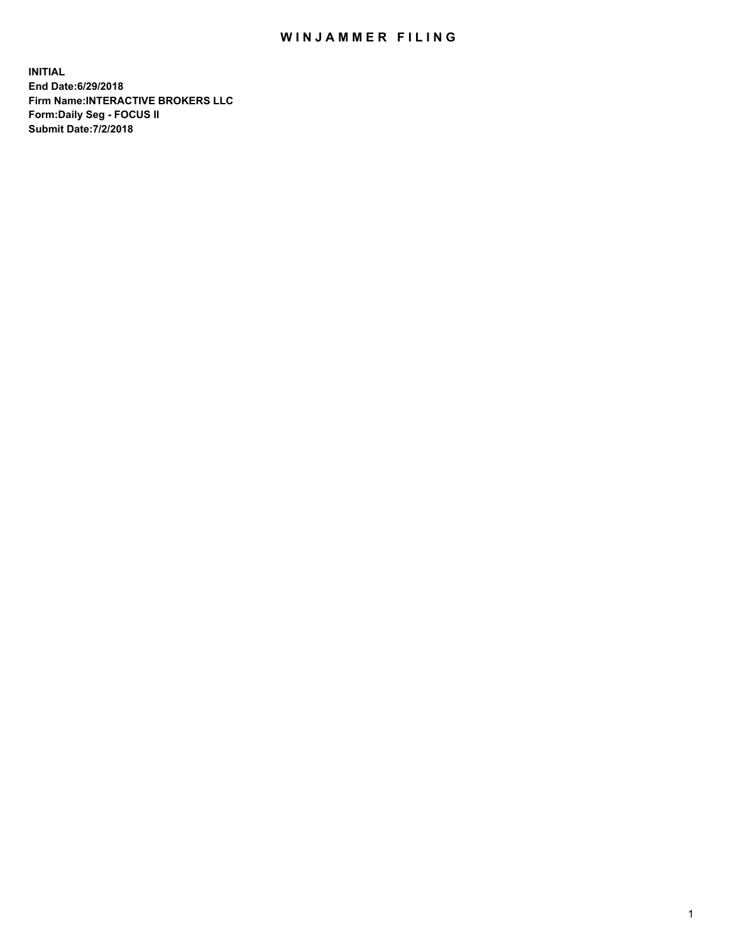## WIN JAMMER FILING

**INITIAL End Date:6/29/2018 Firm Name:INTERACTIVE BROKERS LLC Form:Daily Seg - FOCUS II Submit Date:7/2/2018**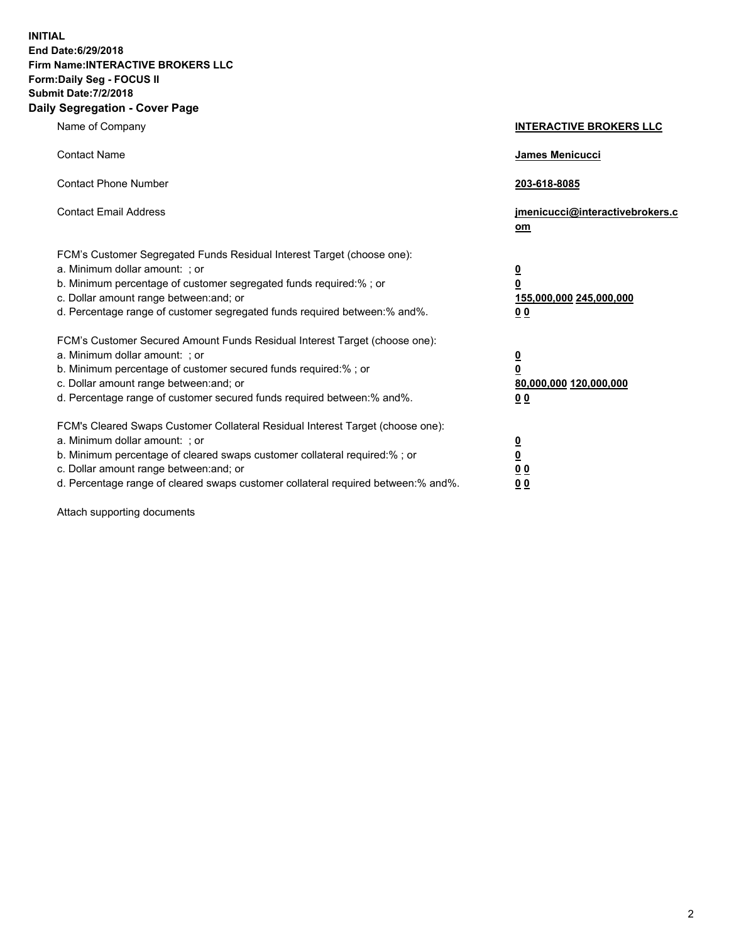**INITIAL End Date:6/29/2018 Firm Name:INTERACTIVE BROKERS LLC Form:Daily Seg - FOCUS II Submit Date:7/2/2018 Daily Segregation - Cover Page**

| Name of Company                                                                                                                                                                                                                                                                                                                | <b>INTERACTIVE BROKERS LLC</b>                                                          |
|--------------------------------------------------------------------------------------------------------------------------------------------------------------------------------------------------------------------------------------------------------------------------------------------------------------------------------|-----------------------------------------------------------------------------------------|
| <b>Contact Name</b>                                                                                                                                                                                                                                                                                                            | <b>James Menicucci</b>                                                                  |
| <b>Contact Phone Number</b>                                                                                                                                                                                                                                                                                                    | 203-618-8085                                                                            |
| <b>Contact Email Address</b>                                                                                                                                                                                                                                                                                                   | jmenicucci@interactivebrokers.c<br>om                                                   |
| FCM's Customer Segregated Funds Residual Interest Target (choose one):<br>a. Minimum dollar amount: ; or<br>b. Minimum percentage of customer segregated funds required:% ; or<br>c. Dollar amount range between: and; or<br>d. Percentage range of customer segregated funds required between:% and%.                         | $\overline{\mathbf{0}}$<br>$\overline{\mathbf{0}}$<br>155,000,000 245,000,000<br>00     |
| FCM's Customer Secured Amount Funds Residual Interest Target (choose one):<br>a. Minimum dollar amount: ; or<br>b. Minimum percentage of customer secured funds required:%; or<br>c. Dollar amount range between: and; or<br>d. Percentage range of customer secured funds required between:% and%.                            | $\overline{\mathbf{0}}$<br>$\mathbf 0$<br>80,000,000 120,000,000<br>0 <sub>0</sub>      |
| FCM's Cleared Swaps Customer Collateral Residual Interest Target (choose one):<br>a. Minimum dollar amount: ; or<br>b. Minimum percentage of cleared swaps customer collateral required:% ; or<br>c. Dollar amount range between: and; or<br>d. Percentage range of cleared swaps customer collateral required between:% and%. | $\overline{\mathbf{0}}$<br>$\underline{\mathbf{0}}$<br>0 <sub>0</sub><br>0 <sub>0</sub> |

Attach supporting documents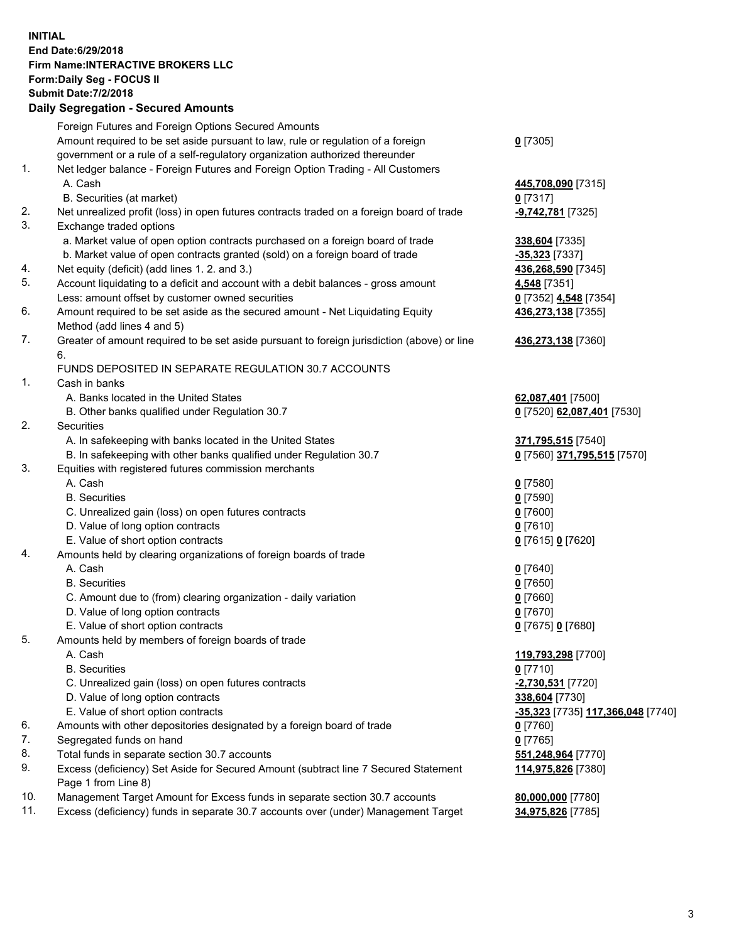**INITIAL End Date:6/29/2018 Firm Name:INTERACTIVE BROKERS LLC Form:Daily Seg - FOCUS II Submit Date:7/2/2018 Daily Segregation - Secured Amounts**

|          | Foreign Futures and Foreign Options Secured Amounts                                                |                                        |
|----------|----------------------------------------------------------------------------------------------------|----------------------------------------|
|          | Amount required to be set aside pursuant to law, rule or regulation of a foreign                   | $0$ [7305]                             |
|          | government or a rule of a self-regulatory organization authorized thereunder                       |                                        |
| 1.       | Net ledger balance - Foreign Futures and Foreign Option Trading - All Customers                    |                                        |
|          | A. Cash                                                                                            | 445,708,090 [7315]                     |
|          | B. Securities (at market)                                                                          | $0$ [7317]                             |
| 2.       | Net unrealized profit (loss) in open futures contracts traded on a foreign board of trade          | <u>-9,742,781</u> [7325]               |
| 3.       | Exchange traded options                                                                            |                                        |
|          | a. Market value of open option contracts purchased on a foreign board of trade                     | 338,604 [7335]                         |
|          | b. Market value of open contracts granted (sold) on a foreign board of trade                       | -35,323 [7337]                         |
| 4.       | Net equity (deficit) (add lines 1. 2. and 3.)                                                      | 436,268,590 [7345]                     |
| 5.       | Account liquidating to a deficit and account with a debit balances - gross amount                  | 4,548 [7351]                           |
|          | Less: amount offset by customer owned securities                                                   | 0 [7352] 4,548 [7354]                  |
| 6.       | Amount required to be set aside as the secured amount - Net Liquidating Equity                     | 436,273,138 [7355]                     |
|          | Method (add lines 4 and 5)                                                                         |                                        |
| 7.       | Greater of amount required to be set aside pursuant to foreign jurisdiction (above) or line        | 436,273,138 [7360]                     |
|          | 6.                                                                                                 |                                        |
|          | FUNDS DEPOSITED IN SEPARATE REGULATION 30.7 ACCOUNTS                                               |                                        |
| 1.       | Cash in banks                                                                                      |                                        |
|          | A. Banks located in the United States                                                              | 62,087,401 [7500]                      |
|          | B. Other banks qualified under Regulation 30.7                                                     | 0 [7520] 62,087,401 [7530]             |
| 2.       | Securities                                                                                         |                                        |
|          | A. In safekeeping with banks located in the United States                                          | 371,795,515 [7540]                     |
|          | B. In safekeeping with other banks qualified under Regulation 30.7                                 | 0 [7560] 371,795,515 [7570]            |
| 3.       | Equities with registered futures commission merchants                                              |                                        |
|          | A. Cash                                                                                            | $0$ [7580]                             |
|          | <b>B.</b> Securities                                                                               | $0$ [7590]                             |
|          | C. Unrealized gain (loss) on open futures contracts                                                | $0$ [7600]                             |
|          | D. Value of long option contracts                                                                  | $0$ [7610]                             |
|          | E. Value of short option contracts                                                                 | 0 [7615] 0 [7620]                      |
| 4.       | Amounts held by clearing organizations of foreign boards of trade                                  |                                        |
|          | A. Cash                                                                                            | $0$ [7640]                             |
|          | <b>B.</b> Securities                                                                               | $0$ [7650]                             |
|          | C. Amount due to (from) clearing organization - daily variation                                    | $0$ [7660]                             |
|          | D. Value of long option contracts                                                                  | $0$ [7670]                             |
|          | E. Value of short option contracts                                                                 | 0 [7675] 0 [7680]                      |
| 5.       | Amounts held by members of foreign boards of trade                                                 |                                        |
|          | A. Cash                                                                                            | 119,793,298 [7700]                     |
|          | <b>B.</b> Securities                                                                               | $0$ [7710]                             |
|          | C. Unrealized gain (loss) on open futures contracts                                                | -2,730,531 [7720]                      |
|          | D. Value of long option contracts                                                                  | 338,604 [7730]                         |
|          | E. Value of short option contracts                                                                 | -35,323 [7735] 117,366,048 [7740]      |
| 6.<br>7. | Amounts with other depositories designated by a foreign board of trade                             | $0$ [7760]                             |
|          | Segregated funds on hand                                                                           | $0$ [7765]                             |
| 8.<br>9. | Total funds in separate section 30.7 accounts                                                      | 551,248,964 [7770]                     |
|          | Excess (deficiency) Set Aside for Secured Amount (subtract line 7 Secured Statement                | 114,975,826 [7380]                     |
| 10.      | Page 1 from Line 8)<br>Management Target Amount for Excess funds in separate section 30.7 accounts |                                        |
| 11.      | Excess (deficiency) funds in separate 30.7 accounts over (under) Management Target                 | 80,000,000 [7780]<br>34,975,826 [7785] |
|          |                                                                                                    |                                        |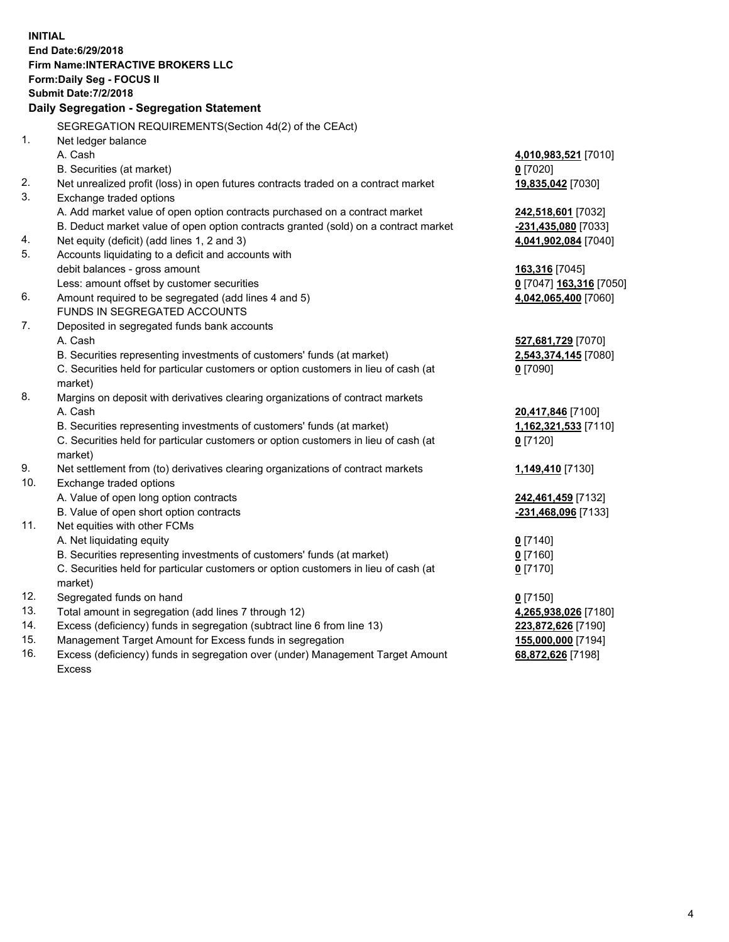**INITIAL End Date:6/29/2018 Firm Name:INTERACTIVE BROKERS LLC Form:Daily Seg - FOCUS II Submit Date:7/2/2018 Daily Segregation - Segregation Statement** SEGREGATION REQUIREMENTS(Section 4d(2) of the CEAct) 1. Net ledger balance A. Cash **4,010,983,521** [7010] B. Securities (at market) **0** [7020] 2. Net unrealized profit (loss) in open futures contracts traded on a contract market **19,835,042** [7030] 3. Exchange traded options A. Add market value of open option contracts purchased on a contract market **242,518,601** [7032] B. Deduct market value of open option contracts granted (sold) on a contract market **-231,435,080** [7033] 4. Net equity (deficit) (add lines 1, 2 and 3) **4,041,902,084** [7040] 5. Accounts liquidating to a deficit and accounts with debit balances - gross amount **163,316** [7045] Less: amount offset by customer securities **0** [7047] **163,316** [7050] 6. Amount required to be segregated (add lines 4 and 5) **4,042,065,400** [7060] FUNDS IN SEGREGATED ACCOUNTS 7. Deposited in segregated funds bank accounts A. Cash **527,681,729** [7070] B. Securities representing investments of customers' funds (at market) **2,543,374,145** [7080] C. Securities held for particular customers or option customers in lieu of cash (at market) **0** [7090] 8. Margins on deposit with derivatives clearing organizations of contract markets A. Cash **20,417,846** [7100] B. Securities representing investments of customers' funds (at market) **1,162,321,533** [7110] C. Securities held for particular customers or option customers in lieu of cash (at market) **0** [7120] 9. Net settlement from (to) derivatives clearing organizations of contract markets **1,149,410** [7130] 10. Exchange traded options A. Value of open long option contracts **242,461,459** [7132] B. Value of open short option contracts **-231,468,096** [7133] 11. Net equities with other FCMs A. Net liquidating equity **0** [7140] B. Securities representing investments of customers' funds (at market) **0** [7160] C. Securities held for particular customers or option customers in lieu of cash (at market) **0** [7170] 12. Segregated funds on hand **0** [7150] 13. Total amount in segregation (add lines 7 through 12) **4,265,938,026** [7180] 14. Excess (deficiency) funds in segregation (subtract line 6 from line 13) **223,872,626** [7190] 15. Management Target Amount for Excess funds in segregation **155,000,000** [7194] **68,872,626** [7198]

16. Excess (deficiency) funds in segregation over (under) Management Target Amount Excess